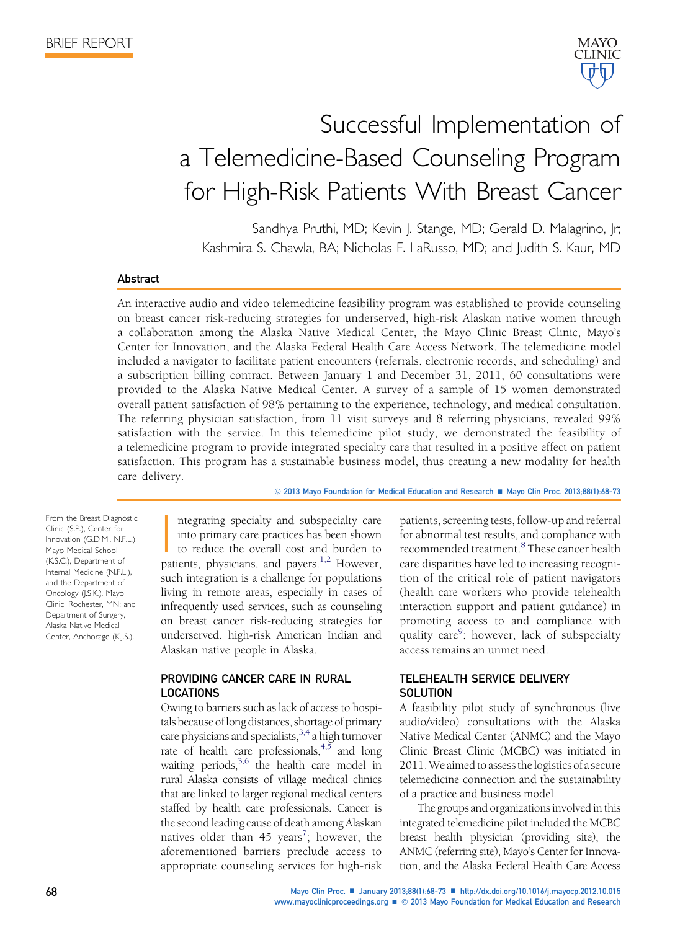

# Successful Implementation of a Telemedicine-Based Counseling Program for High-Risk Patients With Breast Cancer

Sandhya Pruthi, MD; Kevin J. Stange, MD; Gerald D. Malagrino, Jr; Kashmira S. Chawla, BA; Nicholas F. LaRusso, MD; and Judith S. Kaur, MD

#### Abstract

An interactive audio and video telemedicine feasibility program was established to provide counseling on breast cancer risk-reducing strategies for underserved, high-risk Alaskan native women through a collaboration among the Alaska Native Medical Center, the Mayo Clinic Breast Clinic, Mayo's Center for Innovation, and the Alaska Federal Health Care Access Network. The telemedicine model included a navigator to facilitate patient encounters (referrals, electronic records, and scheduling) and a subscription billing contract. Between January 1 and December 31, 2011, 60 consultations were provided to the Alaska Native Medical Center. A survey of a sample of 15 women demonstrated overall patient satisfaction of 98% pertaining to the experience, technology, and medical consultation. The referring physician satisfaction, from 11 visit surveys and 8 referring physicians, revealed 99% satisfaction with the service. In this telemedicine pilot study, we demonstrated the feasibility of a telemedicine program to provide integrated specialty care that resulted in a positive effect on patient satisfaction. This program has a sustainable business model, thus creating a new modality for health care delivery.

© 2013 Mayo Foundation for Medical Education and Research ■ Mayo Clin Proc. 2013;88(1):68-73

From the Breast Diagnostic Clinic (S.P.), Center for Innovation (G.D.M., N.F.L.), Mayo Medical School (K.S.C.), Department of Internal Medicine (N.F.L.), and the Department of Oncology (J.S.K.), Mayo Clinic, Rochester, MN; and Department of Surgery, Alaska Native Medical Center, Anchorage (K.J.S.).

 $\frac{1}{2}$ ntegrating specialty and subspecialty care into primary care practices has been shown to reduce the overall cost and burden to patients, physicians, and payers.<sup>[1,2](#page-5-0)</sup> However, such integration is a challenge for populations living in remote areas, especially in cases of infrequently used services, such as counseling on breast cancer risk-reducing strategies for underserved, high-risk American Indian and Alaskan native people in Alaska.

## PROVIDING CANCER CARE IN RURAL LOCATIONS

Owing to barriers such as lack of access to hospitals because of long distances, shortage of primary care physicians and specialists,  $3,4$  a high turnover rate of health care professionals,  $4,5$  and long waiting periods,  $3,6$  the health care model in rural Alaska consists of village medical clinics that are linked to larger regional medical centers staffed by health care professionals. Cancer is the second leading cause of death among Alaskan natives older than 45 years<sup>[7](#page-5-0)</sup>; however, the aforementioned barriers preclude access to appropriate counseling services for high-risk patients, screening tests, follow-up and referral for abnormal test results, and compliance with recommended treatment.<sup>[8](#page-5-0)</sup> These cancer health care disparities have led to increasing recognition of the critical role of patient navigators (health care workers who provide telehealth interaction support and patient guidance) in promoting access to and compliance with quality care<sup>[9](#page-5-0)</sup>; however, lack of subspecialty access remains an unmet need.

## TELEHEALTH SERVICE DELIVERY **SOLUTION**

A feasibility pilot study of synchronous (live audio/video) consultations with the Alaska Native Medical Center (ANMC) and the Mayo Clinic Breast Clinic (MCBC) was initiated in 2011. We aimed to assess the logistics of a secure telemedicine connection and the sustainability of a practice and business model.

The groups and organizations involved in this integrated telemedicine pilot included the MCBC breast health physician (providing site), the ANMC (referring site), Mayo's Center for Innovation, and the Alaska Federal Health Care Access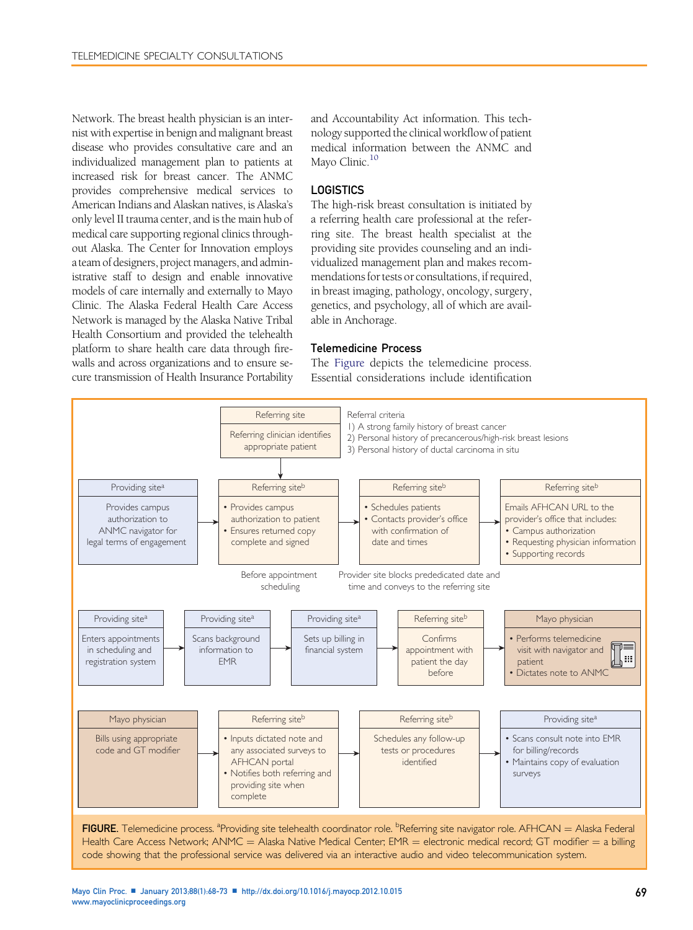Network. The breast health physician is an internist with expertise in benign and malignant breast disease who provides consultative care and an individualized management plan to patients at increased risk for breast cancer. The ANMC provides comprehensive medical services to American Indians and Alaskan natives, is Alaska's only level II trauma center, and is the main hub of medical care supporting regional clinics throughout Alaska. The Center for Innovation employs ateam of designers, project managers, and administrative staff to design and enable innovative models of care internally and externally to Mayo Clinic. The Alaska Federal Health Care Access Network is managed by the Alaska Native Tribal Health Consortium and provided the telehealth platform to share health care data through firewalls and across organizations and to ensure secure transmission of Health Insurance Portability

and Accountability Act information. This technology supported the clinical workflow of patient medical information between the ANMC and Mayo Clinic.<sup>10</sup>

# **LOGISTICS**

The high-risk breast consultation is initiated by a referring health care professional at the referring site. The breast health specialist at the providing site provides counseling and an individualized management plan and makes recommendations for tests or consultations, if required, in breast imaging, pathology, oncology, surgery, genetics, and psychology, all of which are available in Anchorage.

# Telemedicine Process

The Figure depicts the telemedicine process. Essential considerations include identification



Health Care Access Network; ANMC = Alaska Native Medical Center; EMR = electronic medical record; GT modifier = a billing code showing that the professional service was delivered via an interactive audio and video telecommunication system.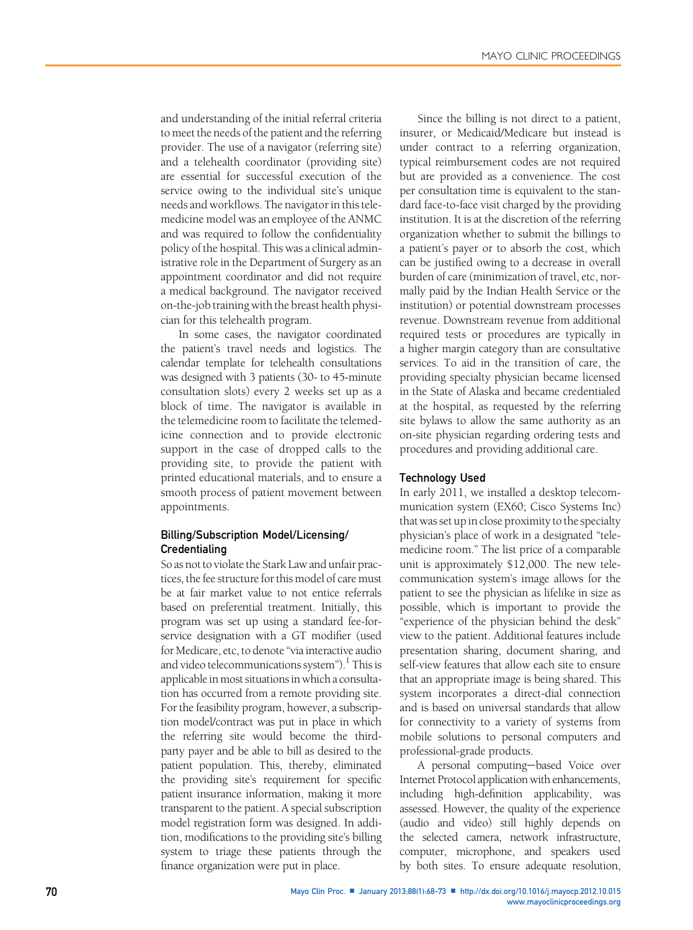and understanding of the initial referral criteria to meet the needs of the patient and the referring provider. The use of a navigator (referring site) and a telehealth coordinator (providing site) are essential for successful execution of the service owing to the individual site's unique needs and workflows. The navigator in this telemedicine model was an employee of the ANMC and was required to follow the confidentiality policy of the hospital. This was a clinical administrative role in the Department of Surgery as an appointment coordinator and did not require a medical background. The navigator received on-the-job training with the breast health physician for this telehealth program.

In some cases, the navigator coordinated the patient's travel needs and logistics. The calendar template for telehealth consultations was designed with 3 patients (30- to 45-minute consultation slots) every 2 weeks set up as a block of time. The navigator is available in the telemedicine room to facilitate the telemedicine connection and to provide electronic support in the case of dropped calls to the providing site, to provide the patient with printed educational materials, and to ensure a smooth process of patient movement between appointments.

## Billing/Subscription Model/Licensing/ **Credentialing**

So as not to violate the Stark Law and unfair practices, the fee structure for this model of care must be at fair market value to not entice referrals based on preferential treatment. Initially, this program was set up using a standard fee-forservice designation with a GT modifier (used for Medicare, etc, to denote "via interactive audio and video telecommunications system").<sup>1</sup> This is applicable in most situations inwhich a consultation has occurred from a remote providing site. For the feasibility program, however, a subscription model/contract was put in place in which the referring site would become the thirdparty payer and be able to bill as desired to the patient population. This, thereby, eliminated the providing site's requirement for specific patient insurance information, making it more transparent to the patient. A special subscription model registration form was designed. In addition, modifications to the providing site's billing system to triage these patients through the finance organization were put in place.

Since the billing is not direct to a patient, insurer, or Medicaid/Medicare but instead is under contract to a referring organization, typical reimbursement codes are not required but are provided as a convenience. The cost per consultation time is equivalent to the standard face-to-face visit charged by the providing institution. It is at the discretion of the referring organization whether to submit the billings to a patient's payer or to absorb the cost, which can be justified owing to a decrease in overall burden of care (minimization of travel, etc, normally paid by the Indian Health Service or the institution) or potential downstream processes revenue. Downstream revenue from additional required tests or procedures are typically in a higher margin category than are consultative services. To aid in the transition of care, the providing specialty physician became licensed in the State of Alaska and became credentialed at the hospital, as requested by the referring site bylaws to allow the same authority as an on-site physician regarding ordering tests and procedures and providing additional care.

## Technology Used

In early 2011, we installed a desktop telecommunication system (EX60; Cisco Systems Inc) that was set up in close proximity to the specialty physician's place of work in a designated "telemedicine room." The list price of a comparable unit is approximately \$12,000. The new telecommunication system's image allows for the patient to see the physician as lifelike in size as possible, which is important to provide the "experience of the physician behind the desk" view to the patient. Additional features include presentation sharing, document sharing, and self-view features that allow each site to ensure that an appropriate image is being shared. This system incorporates a direct-dial connection and is based on universal standards that allow for connectivity to a variety of systems from mobile solutions to personal computers and professional-grade products.

A personal computing-based Voice over Internet Protocol application with enhancements, including high-definition applicability, was assessed. However, the quality of the experience (audio and video) still highly depends on the selected camera, network infrastructure, computer, microphone, and speakers used by both sites. To ensure adequate resolution,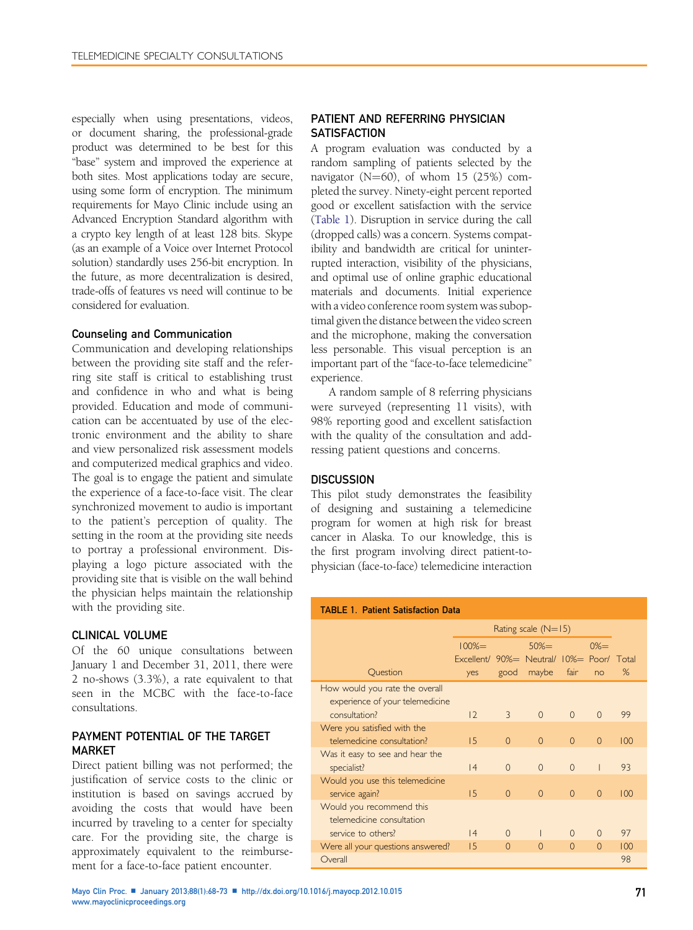especially when using presentations, videos, or document sharing, the professional-grade product was determined to be best for this "base" system and improved the experience at both sites. Most applications today are secure, using some form of encryption. The minimum requirements for Mayo Clinic include using an Advanced Encryption Standard algorithm with a crypto key length of at least 128 bits. Skype (as an example of a Voice over Internet Protocol solution) standardly uses 256-bit encryption. In the future, as more decentralization is desired, trade-offs of features vs need will continue to be considered for evaluation.

#### Counseling and Communication

Communication and developing relationships between the providing site staff and the referring site staff is critical to establishing trust and confidence in who and what is being provided. Education and mode of communication can be accentuated by use of the electronic environment and the ability to share and view personalized risk assessment models and computerized medical graphics and video. The goal is to engage the patient and simulate the experience of a face-to-face visit. The clear synchronized movement to audio is important to the patient's perception of quality. The setting in the room at the providing site needs to portray a professional environment. Displaying a logo picture associated with the providing site that is visible on the wall behind the physician helps maintain the relationship with the providing site.

#### CLINICAL VOLUME

Of the 60 unique consultations between January 1 and December 31, 2011, there were 2 no-shows (3.3%), a rate equivalent to that seen in the MCBC with the face-to-face consultations.

# PAYMENT POTENTIAL OF THE TARGET **MARKFT**

Direct patient billing was not performed; the justification of service costs to the clinic or institution is based on savings accrued by avoiding the costs that would have been incurred by traveling to a center for specialty care. For the providing site, the charge is approximately equivalent to the reimbursement for a face-to-face patient encounter.

# PATIENT AND REFERRING PHYSICIAN **SATISFACTION**

A program evaluation was conducted by a random sampling of patients selected by the navigator ( $N=60$ ), of whom 15 (25%) completed the survey. Ninety-eight percent reported good or excellent satisfaction with the service (Table 1). Disruption in service during the call (dropped calls) was a concern. Systems compatibility and bandwidth are critical for uninterrupted interaction, visibility of the physicians, and optimal use of online graphic educational materials and documents. Initial experience with a video conference room system was suboptimal given the distance between the video screen and the microphone, making the conversation less personable. This visual perception is an important part of the "face-to-face telemedicine" experience.

A random sample of 8 referring physicians were surveyed (representing 11 visits), with 98% reporting good and excellent satisfaction with the quality of the consultation and addressing patient questions and concerns.

## **DISCUSSION**

This pilot study demonstrates the feasibility of designing and sustaining a telemedicine program for women at high risk for breast cancer in Alaska. To our knowledge, this is the first program involving direct patient-tophysician (face-to-face) telemedicine interaction

#### TABLE 1. Patient Satisfaction Data

|                                                                                    | Rating scale $(N=15)$         |          |                                                    |          |                           |     |
|------------------------------------------------------------------------------------|-------------------------------|----------|----------------------------------------------------|----------|---------------------------|-----|
| Question                                                                           | $100% =$<br>Fxcellent/<br>yes | good     | $50% =$<br>90%= Neutral/ 10%= Poor/ Total<br>maybe | fair     | $0\% =$<br>n <sub>O</sub> | %   |
| How would you rate the overall<br>experience of your telemedicine<br>consultation? | $\overline{2}$                | 3        | $\Omega$                                           | $\Omega$ | $\Omega$                  | 99  |
| Were you satisfied with the<br>telemedicine consultation?                          | 15                            | $\Omega$ | $\Omega$                                           | $\Omega$ | $\Omega$                  | 100 |
| Was it easy to see and hear the<br>specialist?                                     | 4                             | $\Omega$ | $\Omega$                                           | $\Omega$ | $\mathsf{I}$              | 93  |
| Would you use this telemedicine<br>service again?                                  | 15                            | $\Omega$ | $\Omega$                                           | $\Omega$ | $\Omega$                  | 100 |
| Would you recommend this<br>telemedicine consultation                              |                               |          |                                                    |          |                           |     |
| service to others?                                                                 | 4                             | $\Omega$ |                                                    | $\Omega$ | $\Omega$                  | 97  |
| Were all your questions answered?                                                  | 15                            | ∩        | $\Omega$                                           | $\Omega$ | $\Omega$                  | 100 |
| Overall                                                                            |                               |          |                                                    |          |                           | 98  |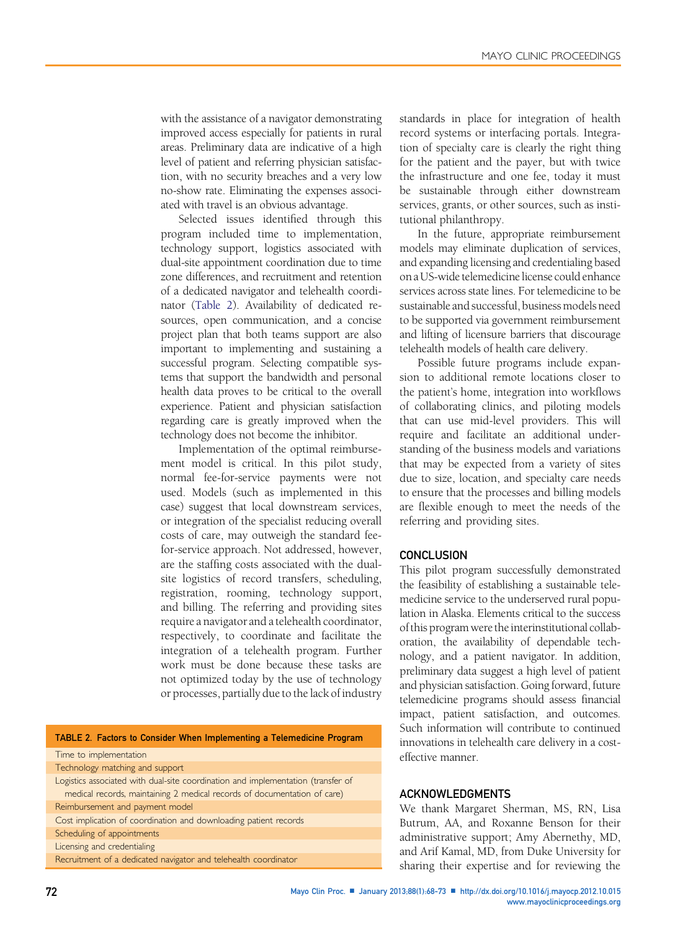with the assistance of a navigator demonstrating improved access especially for patients in rural areas. Preliminary data are indicative of a high level of patient and referring physician satisfaction, with no security breaches and a very low no-show rate. Eliminating the expenses associated with travel is an obvious advantage.

Selected issues identified through this program included time to implementation, technology support, logistics associated with dual-site appointment coordination due to time zone differences, and recruitment and retention of a dedicated navigator and telehealth coordinator (Table 2). Availability of dedicated resources, open communication, and a concise project plan that both teams support are also important to implementing and sustaining a successful program. Selecting compatible systems that support the bandwidth and personal health data proves to be critical to the overall experience. Patient and physician satisfaction regarding care is greatly improved when the technology does not become the inhibitor.

Implementation of the optimal reimbursement model is critical. In this pilot study, normal fee-for-service payments were not used. Models (such as implemented in this case) suggest that local downstream services, or integration of the specialist reducing overall costs of care, may outweigh the standard feefor-service approach. Not addressed, however, are the staffing costs associated with the dualsite logistics of record transfers, scheduling, registration, rooming, technology support, and billing. The referring and providing sites require a navigator and a telehealth coordinator, respectively, to coordinate and facilitate the integration of a telehealth program. Further work must be done because these tasks are not optimized today by the use of technology or processes, partially due to the lack of industry

#### TABLE 2. Factors to Consider When Implementing a Telemedicine Program

Time to implementation

Technology matching and support

Logistics associated with dual-site coordination and implementation (transfer of medical records, maintaining 2 medical records of documentation of care) Reimbursement and payment model

Cost implication of coordination and downloading patient records

Scheduling of appointments

Licensing and credentialing

Recruitment of a dedicated navigator and telehealth coordinator

standards in place for integration of health record systems or interfacing portals. Integration of specialty care is clearly the right thing for the patient and the payer, but with twice the infrastructure and one fee, today it must be sustainable through either downstream services, grants, or other sources, such as institutional philanthropy.

In the future, appropriate reimbursement models may eliminate duplication of services, and expanding licensing and credentialing based on a US-widetelemedicine license could enhance services across state lines. For telemedicine to be sustainable and successful, business models need to be supported via government reimbursement and lifting of licensure barriers that discourage telehealth models of health care delivery.

Possible future programs include expansion to additional remote locations closer to the patient's home, integration into workflows of collaborating clinics, and piloting models that can use mid-level providers. This will require and facilitate an additional understanding of the business models and variations that may be expected from a variety of sites due to size, location, and specialty care needs to ensure that the processes and billing models are flexible enough to meet the needs of the referring and providing sites.

#### **CONCLUSION**

This pilot program successfully demonstrated the feasibility of establishing a sustainable telemedicine service to the underserved rural population in Alaska. Elements critical to the success of this program were the interinstitutional collaboration, the availability of dependable technology, and a patient navigator. In addition, preliminary data suggest a high level of patient and physician satisfaction. Going forward, future telemedicine programs should assess financial impact, patient satisfaction, and outcomes. Such information will contribute to continued innovations in telehealth care delivery in a costeffective manner.

#### ACKNOWLEDGMENTS

We thank Margaret Sherman, MS, RN, Lisa Butrum, AA, and Roxanne Benson for their administrative support; Amy Abernethy, MD, and Arif Kamal, MD, from Duke University for sharing their expertise and for reviewing the